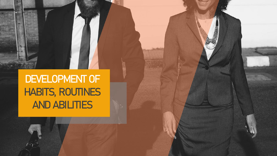**DEVELOPMENT OF HABITS, ROUTINES AND ABILITIES** 

 $\sqrt{2}$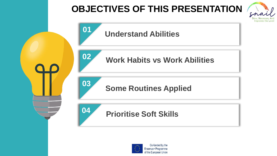# **OBJECTIVES OF THIS PRESENTATION**





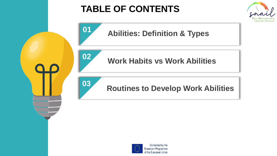# **TABLE OF CONTENTS**





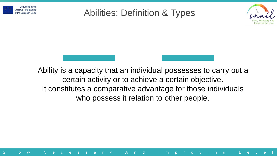

### Abilities: Definition & Types



Ability is a capacity that an individual possesses to carry out a certain activity or to achieve a certain objective. It constitutes a comparative advantage for those individuals who possess it relation to other people.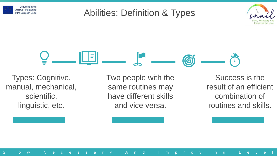

### Abilities: Definition & Types





Types: Cognitive, manual, mechanical, scientific, linguistic, etc.

Two people with the same routines may have different skills and vice versa.

S l o w N e c e s s a r y A n d I m p r o v i n g L e v e l

Success is the result of an efficient combination of routines and skills.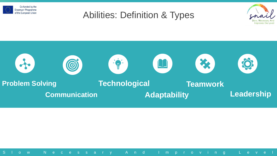

### Abilities: Definition & Types



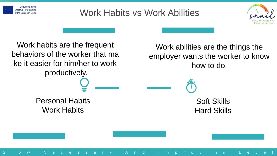

# Work Habits vs Work Abilities

S l o w N e c e s s a r y A n d I m p r o v i n g L e v e l



Work habits are the frequent behaviors of the worker that ma ke it easier for him/her to work productively. Personal Habits Work Habits

Work abilities are the things the employer wants the worker to know how to do.

> Soft Skills Hard Skills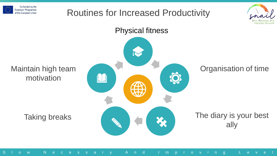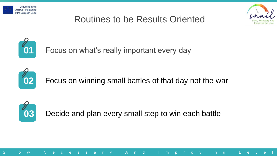



# Routines to be Results Oriented



Focus on what's really important every day



Focus on winning small battles of that day not the war



Decide and plan every small step to win each battle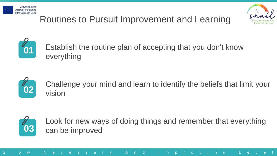



# Routines to Pursuit Improvement and Learning



Establish the routine plan of accepting that you don't know everything



Challenge your mind and learn to identify the beliefs that limit your vision



Look for new ways of doing things and remember that everything can be improved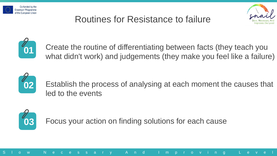

# Routines for Resistance to failure





Create the routine of differentiating between facts (they teach you what didn't work) and judgements (they make you feel like a failure)



Establish the process of analysing at each moment the causes that led to the events



Focus your action on finding solutions for each cause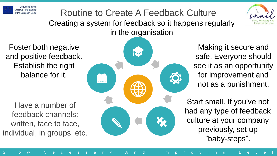

Routine to Create A Feedback Culture Creating a system for feedback so it happens regularly in the organisation



Foster both negative and positive feedback. Establish the right balance for it.

Have a number of feedback channels: written, face to face, individual, in groups, etc.



Making it secure and safe. Everyone should see it as an opportunity for improvement and not as a punishment.

Start small. If you've not had any type of feedback culture at your company previously, set up "baby-steps".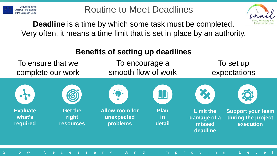

.

**Evaluate what's required**

Routine to Meet Deadlines

#### **Deadline** is a time by which some task must be completed. Very often, it means a time limit that is set in place by an authority.



S l o w N e c e s s a r y A n d I m p r o v i n g L e v e l

**Support your team during the project execution**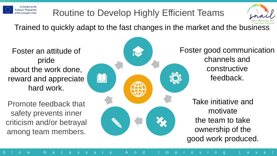

# Routine to Develop Highly Efficient Teams



Trained to quickly adapt to the fast changes in the market and the business

Foster an attitude of pride about the work done, reward and appreciate hard work.

Promote feedback that safety prevents inner criticism and/or betrayal among team members.



Foster good communication channels and constructive feedback.

Take initiative and motivate the team to take ownership of the good work produced.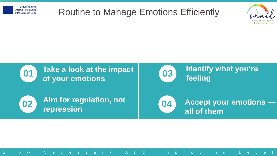

### Routine to Manage Emotions Efficiently



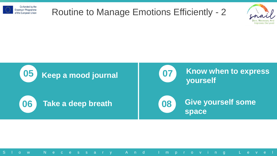

## Routine to Manage Emotions Efficiently - 2



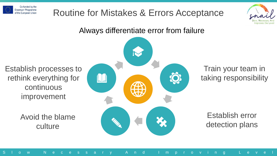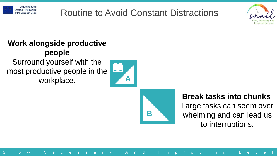

# Routine to Avoid Constant Distractions



#### **Work alongside productive people**

Surround yourself with the most productive people in the workplace.





S l o w N e c e s s a r y A n d I m p r o v i n g L e v e l

#### **Break tasks into chunks**

Large tasks can seem over whelming and can lead us to interruptions.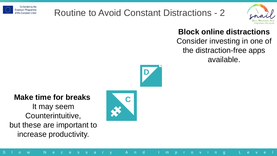

# Routine to Avoid Constant Distractions - 2



#### **Block online distractions** Consider investing in one of the distraction-free apps available.



#### **Make time for breaks**

It may seem Counterintuitive, but these are important to increase productivity.